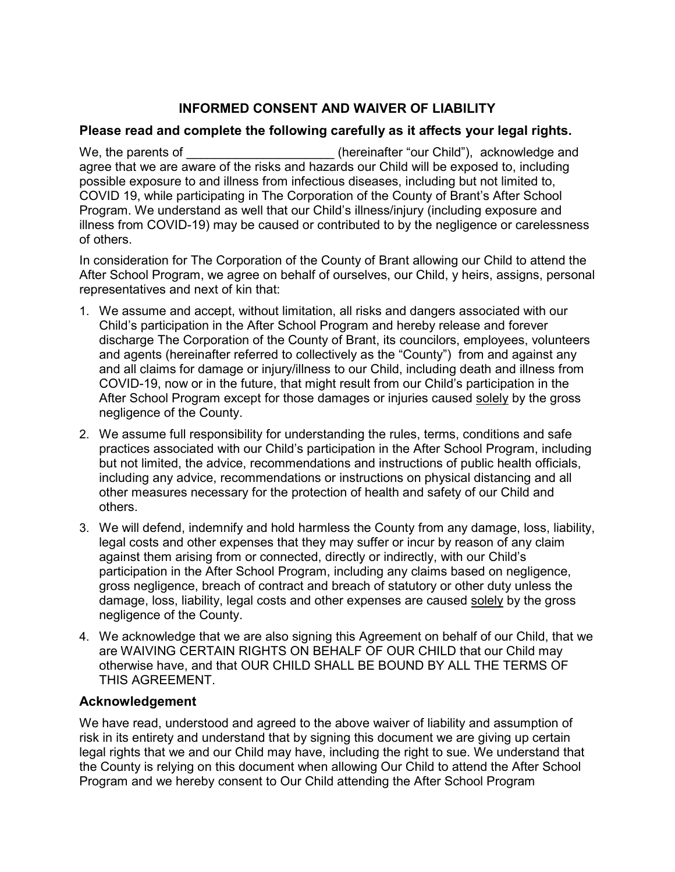## **INFORMED CONSENT AND WAIVER OF LIABILITY**

## **Please read and complete the following carefully as it affects your legal rights.**

We, the parents of **Example 20** (hereinafter "our Child"), acknowledge and agree that we are aware of the risks and hazards our Child will be exposed to, including possible exposure to and illness from infectious diseases, including but not limited to, COVID 19, while participating in The Corporation of the County of Brant's After School Program. We understand as well that our Child's illness/injury (including exposure and illness from COVID-19) may be caused or contributed to by the negligence or carelessness of others.

In consideration for The Corporation of the County of Brant allowing our Child to attend the After School Program, we agree on behalf of ourselves, our Child, y heirs, assigns, personal representatives and next of kin that:

- 1. We assume and accept, without limitation, all risks and dangers associated with our Child's participation in the After School Program and hereby release and forever discharge The Corporation of the County of Brant, its councilors, employees, volunteers and agents (hereinafter referred to collectively as the "County") from and against any and all claims for damage or injury/illness to our Child, including death and illness from COVID-19, now or in the future, that might result from our Child's participation in the After School Program except for those damages or injuries caused solely by the gross negligence of the County.
- 2. We assume full responsibility for understanding the rules, terms, conditions and safe practices associated with our Child's participation in the After School Program, including but not limited, the advice, recommendations and instructions of public health officials, including any advice, recommendations or instructions on physical distancing and all other measures necessary for the protection of health and safety of our Child and others.
- 3. We will defend, indemnify and hold harmless the County from any damage, loss, liability, legal costs and other expenses that they may suffer or incur by reason of any claim against them arising from or connected, directly or indirectly, with our Child's participation in the After School Program, including any claims based on negligence, gross negligence, breach of contract and breach of statutory or other duty unless the damage, loss, liability, legal costs and other expenses are caused solely by the gross negligence of the County.
- 4. We acknowledge that we are also signing this Agreement on behalf of our Child, that we are WAIVING CERTAIN RIGHTS ON BEHALF OF OUR CHILD that our Child may otherwise have, and that OUR CHILD SHALL BE BOUND BY ALL THE TERMS OF THIS AGREEMENT.

## **Acknowledgement**

We have read, understood and agreed to the above waiver of liability and assumption of risk in its entirety and understand that by signing this document we are giving up certain legal rights that we and our Child may have, including the right to sue. We understand that the County is relying on this document when allowing Our Child to attend the After School Program and we hereby consent to Our Child attending the After School Program